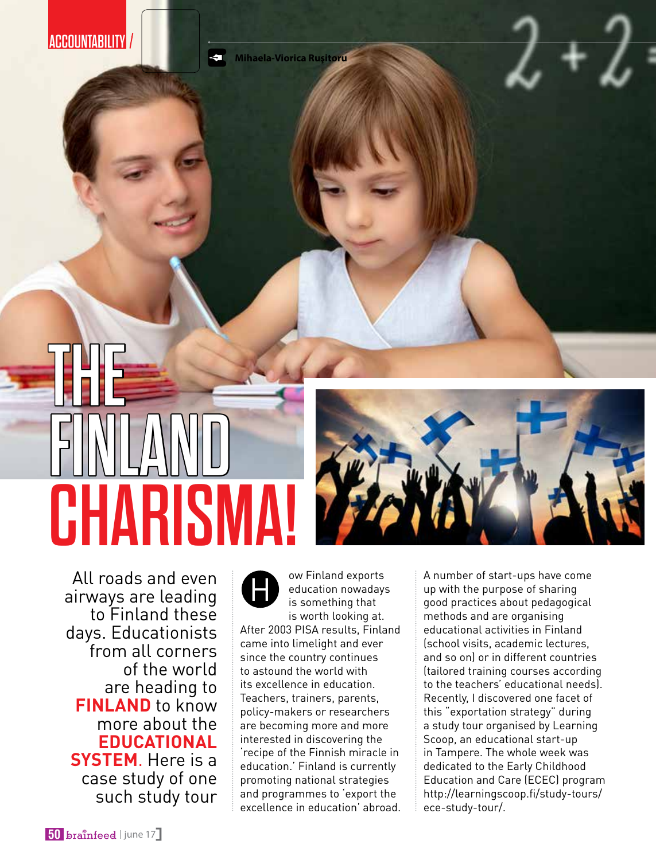**ACCOUNTABILITY** 

**Mihaela-Viorica Ruşitoru**  $\triangleleft$ 

## The FINLAND CHARISM



All roads and even airways are leading to Finland these days. Educationists from all corners of the world are heading to **Finland** to know more about the **educational system**. Here is a case study of one such study tour

ow Finland exports<br>
education nowadays<br>
is something that education nowadays is something that is worth looking at. After 2003 PISA results, Finland came into limelight and ever since the country continues to astound the world with its excellence in education. Teachers, trainers, parents, policy-makers or researchers are becoming more and more interested in discovering the 'recipe of the Finnish miracle in education.' Finland is currently promoting national strategies and programmes to 'export the excellence in education' abroad. A number of start-ups have come up with the purpose of sharing good practices about pedagogical methods and are organising educational activities in Finland (school visits, academic lectures, and so on) or in different countries (tailored training courses according to the teachers' educational needs). Recently, I discovered one facet of this "exportation strategy" during a study tour organised by Learning Scoop, an educational start-up in Tampere. The whole week was dedicated to the Early Childhood Education and Care (ECEC) program http://learningscoop.fi/study-tours/ ece-study-tour/.